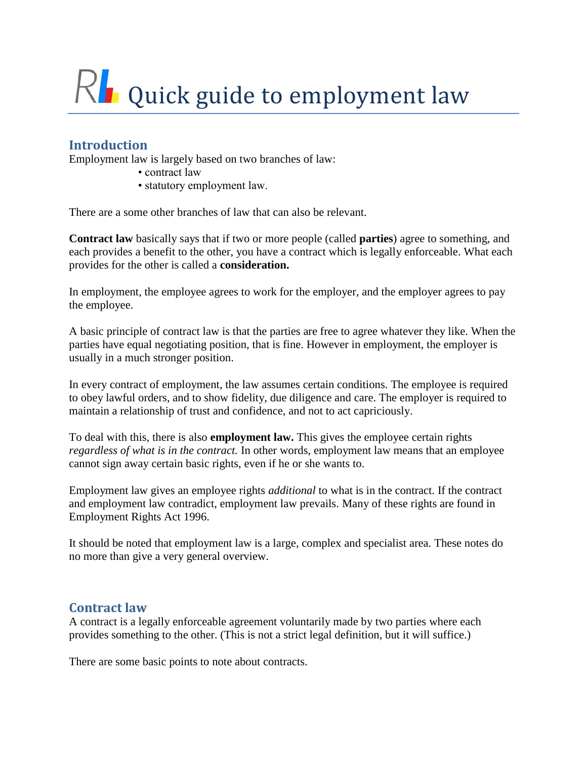# RI Quick guide to employment law

## **Introduction**

Employment law is largely based on two branches of law:

- contract law
- statutory employment law.

There are a some other branches of law that can also be relevant.

**Contract law** basically says that if two or more people (called **parties**) agree to something, and each provides a benefit to the other, you have a contract which is legally enforceable. What each provides for the other is called a **consideration.**

In employment, the employee agrees to work for the employer, and the employer agrees to pay the employee.

A basic principle of contract law is that the parties are free to agree whatever they like. When the parties have equal negotiating position, that is fine. However in employment, the employer is usually in a much stronger position.

In every contract of employment, the law assumes certain conditions. The employee is required to obey lawful orders, and to show fidelity, due diligence and care. The employer is required to maintain a relationship of trust and confidence, and not to act capriciously.

To deal with this, there is also **employment law.** This gives the employee certain rights *regardless of what is in the contract.* In other words, employment law means that an employee cannot sign away certain basic rights, even if he or she wants to.

Employment law gives an employee rights *additional* to what is in the contract. If the contract and employment law contradict, employment law prevails. Many of these rights are found in Employment Rights Act 1996.

It should be noted that employment law is a large, complex and specialist area. These notes do no more than give a very general overview.

#### **Contract law**

A contract is a legally enforceable agreement voluntarily made by two parties where each provides something to the other. (This is not a strict legal definition, but it will suffice.)

There are some basic points to note about contracts.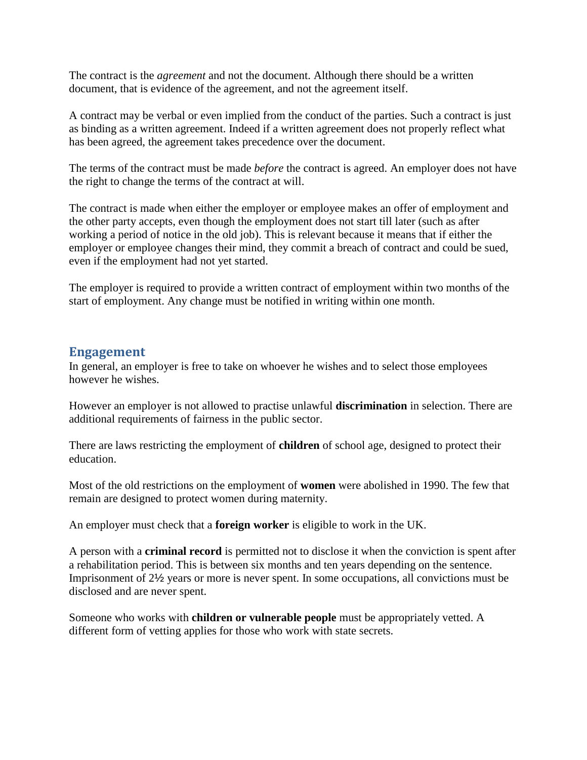The contract is the *agreement* and not the document. Although there should be a written document, that is evidence of the agreement, and not the agreement itself.

A contract may be verbal or even implied from the conduct of the parties. Such a contract is just as binding as a written agreement. Indeed if a written agreement does not properly reflect what has been agreed, the agreement takes precedence over the document.

The terms of the contract must be made *before* the contract is agreed. An employer does not have the right to change the terms of the contract at will.

The contract is made when either the employer or employee makes an offer of employment and the other party accepts, even though the employment does not start till later (such as after working a period of notice in the old job). This is relevant because it means that if either the employer or employee changes their mind, they commit a breach of contract and could be sued, even if the employment had not yet started.

The employer is required to provide a written contract of employment within two months of the start of employment. Any change must be notified in writing within one month.

#### **Engagement**

In general, an employer is free to take on whoever he wishes and to select those employees however he wishes.

However an employer is not allowed to practise unlawful **discrimination** in selection. There are additional requirements of fairness in the public sector.

There are laws restricting the employment of **children** of school age, designed to protect their education.

Most of the old restrictions on the employment of **women** were abolished in 1990. The few that remain are designed to protect women during maternity.

An employer must check that a **foreign worker** is eligible to work in the UK.

A person with a **criminal record** is permitted not to disclose it when the conviction is spent after a rehabilitation period. This is between six months and ten years depending on the sentence. Imprisonment of 2½ years or more is never spent. In some occupations, all convictions must be disclosed and are never spent.

Someone who works with **children or vulnerable people** must be appropriately vetted. A different form of vetting applies for those who work with state secrets.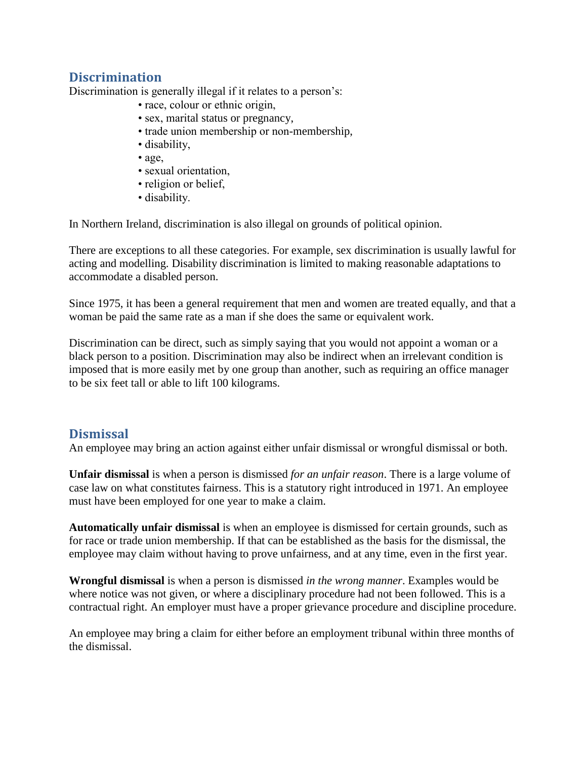# **Discrimination**

Discrimination is generally illegal if it relates to a person's:

- race, colour or ethnic origin,
- sex, marital status or pregnancy,
- trade union membership or non-membership,
- disability,
- age,
- sexual orientation,
- religion or belief,
- disability.

In Northern Ireland, discrimination is also illegal on grounds of political opinion.

There are exceptions to all these categories. For example, sex discrimination is usually lawful for acting and modelling. Disability discrimination is limited to making reasonable adaptations to accommodate a disabled person.

Since 1975, it has been a general requirement that men and women are treated equally, and that a woman be paid the same rate as a man if she does the same or equivalent work.

Discrimination can be direct, such as simply saying that you would not appoint a woman or a black person to a position. Discrimination may also be indirect when an irrelevant condition is imposed that is more easily met by one group than another, such as requiring an office manager to be six feet tall or able to lift 100 kilograms.

# **Dismissal**

An employee may bring an action against either unfair dismissal or wrongful dismissal or both.

**Unfair dismissal** is when a person is dismissed *for an unfair reason*. There is a large volume of case law on what constitutes fairness. This is a statutory right introduced in 1971. An employee must have been employed for one year to make a claim.

**Automatically unfair dismissal** is when an employee is dismissed for certain grounds, such as for race or trade union membership. If that can be established as the basis for the dismissal, the employee may claim without having to prove unfairness, and at any time, even in the first year.

**Wrongful dismissal** is when a person is dismissed *in the wrong manner*. Examples would be where notice was not given, or where a disciplinary procedure had not been followed. This is a contractual right. An employer must have a proper grievance procedure and discipline procedure.

An employee may bring a claim for either before an employment tribunal within three months of the dismissal.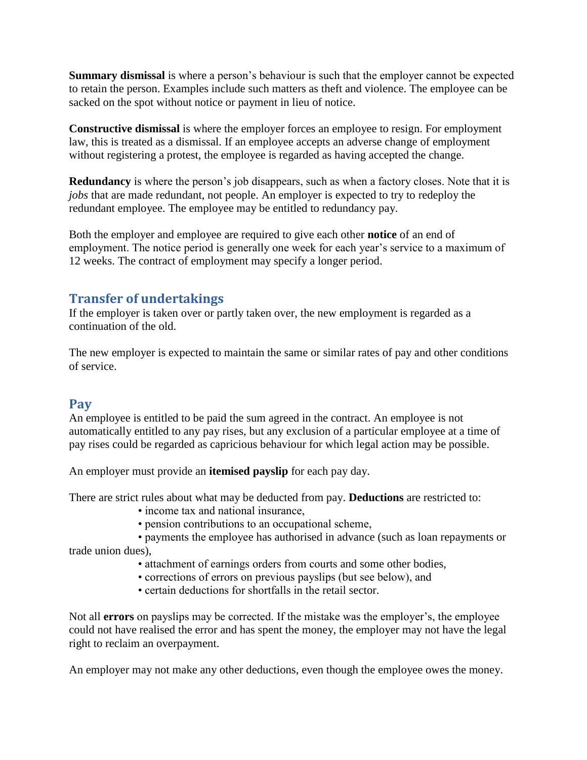**Summary dismissal** is where a person's behaviour is such that the employer cannot be expected to retain the person. Examples include such matters as theft and violence. The employee can be sacked on the spot without notice or payment in lieu of notice.

**Constructive dismissal** is where the employer forces an employee to resign. For employment law, this is treated as a dismissal. If an employee accepts an adverse change of employment without registering a protest, the employee is regarded as having accepted the change.

**Redundancy** is where the person's job disappears, such as when a factory closes. Note that it is *jobs* that are made redundant, not people. An employer is expected to try to redeploy the redundant employee. The employee may be entitled to redundancy pay.

Both the employer and employee are required to give each other **notice** of an end of employment. The notice period is generally one week for each year's service to a maximum of 12 weeks. The contract of employment may specify a longer period.

# **Transfer of undertakings**

If the employer is taken over or partly taken over, the new employment is regarded as a continuation of the old.

The new employer is expected to maintain the same or similar rates of pay and other conditions of service.

#### **Pay**

An employee is entitled to be paid the sum agreed in the contract. An employee is not automatically entitled to any pay rises, but any exclusion of a particular employee at a time of pay rises could be regarded as capricious behaviour for which legal action may be possible.

An employer must provide an **itemised payslip** for each pay day.

There are strict rules about what may be deducted from pay. **Deductions** are restricted to:

- income tax and national insurance,
- pension contributions to an occupational scheme,

• payments the employee has authorised in advance (such as loan repayments or trade union dues),

- attachment of earnings orders from courts and some other bodies,
- corrections of errors on previous payslips (but see below), and
- certain deductions for shortfalls in the retail sector.

Not all **errors** on payslips may be corrected. If the mistake was the employer's, the employee could not have realised the error and has spent the money, the employer may not have the legal right to reclaim an overpayment.

An employer may not make any other deductions, even though the employee owes the money.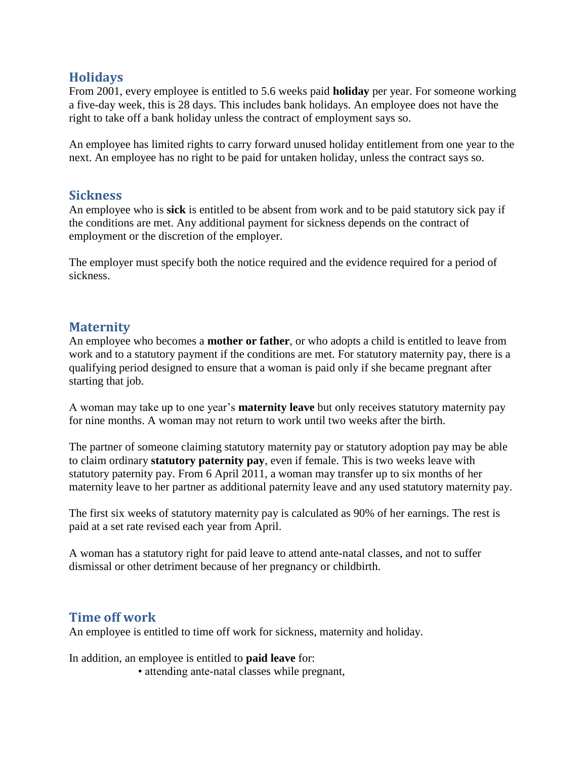## **Holidays**

From 2001, every employee is entitled to 5.6 weeks paid **holiday** per year. For someone working a five-day week, this is 28 days. This includes bank holidays. An employee does not have the right to take off a bank holiday unless the contract of employment says so.

An employee has limited rights to carry forward unused holiday entitlement from one year to the next. An employee has no right to be paid for untaken holiday, unless the contract says so.

#### **Sickness**

An employee who is **sick** is entitled to be absent from work and to be paid statutory sick pay if the conditions are met. Any additional payment for sickness depends on the contract of employment or the discretion of the employer.

The employer must specify both the notice required and the evidence required for a period of sickness.

## **Maternity**

An employee who becomes a **mother or father**, or who adopts a child is entitled to leave from work and to a statutory payment if the conditions are met. For statutory maternity pay, there is a qualifying period designed to ensure that a woman is paid only if she became pregnant after starting that job.

A woman may take up to one year's **maternity leave** but only receives statutory maternity pay for nine months. A woman may not return to work until two weeks after the birth.

The partner of someone claiming statutory maternity pay or statutory adoption pay may be able to claim ordinary **statutory paternity pay**, even if female. This is two weeks leave with statutory paternity pay. From 6 April 2011, a woman may transfer up to six months of her maternity leave to her partner as additional paternity leave and any used statutory maternity pay.

The first six weeks of statutory maternity pay is calculated as 90% of her earnings. The rest is paid at a set rate revised each year from April.

A woman has a statutory right for paid leave to attend ante-natal classes, and not to suffer dismissal or other detriment because of her pregnancy or childbirth.

# **Time off work**

An employee is entitled to time off work for sickness, maternity and holiday.

In addition, an employee is entitled to **paid leave** for:

• attending ante-natal classes while pregnant,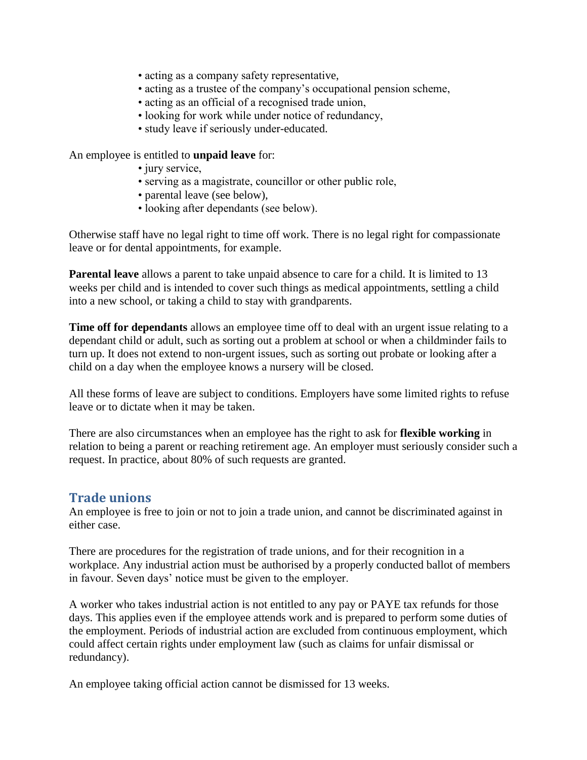- acting as a company safety representative,
- acting as a trustee of the company's occupational pension scheme,
- acting as an official of a recognised trade union,
- looking for work while under notice of redundancy,
- study leave if seriously under-educated.

An employee is entitled to **unpaid leave** for:

- jury service,
- serving as a magistrate, councillor or other public role,
- parental leave (see below),
- looking after dependants (see below).

Otherwise staff have no legal right to time off work. There is no legal right for compassionate leave or for dental appointments, for example.

**Parental leave** allows a parent to take unpaid absence to care for a child. It is limited to 13 weeks per child and is intended to cover such things as medical appointments, settling a child into a new school, or taking a child to stay with grandparents.

**Time off for dependants** allows an employee time off to deal with an urgent issue relating to a dependant child or adult, such as sorting out a problem at school or when a childminder fails to turn up. It does not extend to non-urgent issues, such as sorting out probate or looking after a child on a day when the employee knows a nursery will be closed.

All these forms of leave are subject to conditions. Employers have some limited rights to refuse leave or to dictate when it may be taken.

There are also circumstances when an employee has the right to ask for **flexible working** in relation to being a parent or reaching retirement age. An employer must seriously consider such a request. In practice, about 80% of such requests are granted.

#### **Trade unions**

An employee is free to join or not to join a trade union, and cannot be discriminated against in either case.

There are procedures for the registration of trade unions, and for their recognition in a workplace. Any industrial action must be authorised by a properly conducted ballot of members in favour. Seven days' notice must be given to the employer.

A worker who takes industrial action is not entitled to any pay or PAYE tax refunds for those days. This applies even if the employee attends work and is prepared to perform some duties of the employment. Periods of industrial action are excluded from continuous employment, which could affect certain rights under employment law (such as claims for unfair dismissal or redundancy).

An employee taking official action cannot be dismissed for 13 weeks.